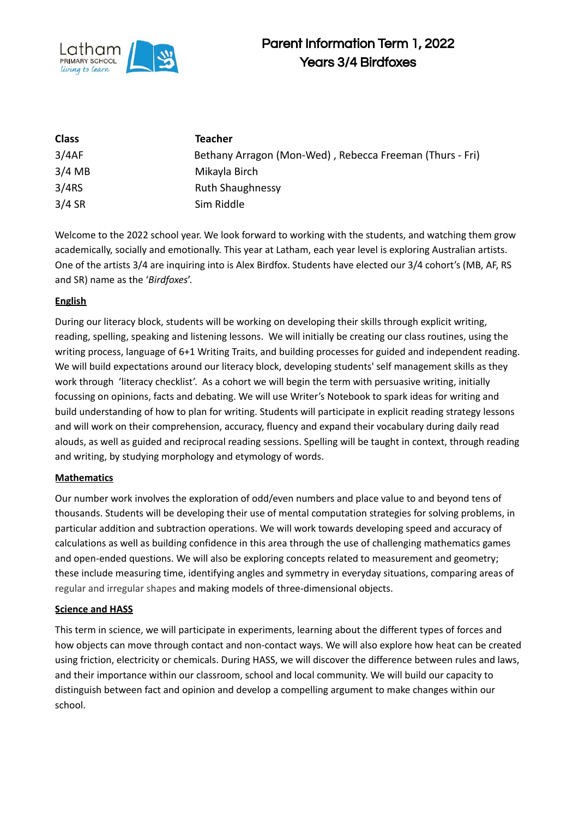

| <b>Class</b> | Teacher                                                  |
|--------------|----------------------------------------------------------|
| 3/4AF        | Bethany Arragon (Mon-Wed), Rebecca Freeman (Thurs - Fri) |
| $3/4$ MB     | Mikayla Birch                                            |
| 3/4RS        | <b>Ruth Shaughnessy</b>                                  |
| $3/4$ SR     | Sim Riddle                                               |

Welcome to the 2022 school year. We look forward to working with the students, and watching them grow academically, socially and emotionally. This year at Latham, each year level is exploring Australian artists. One of the artists 3/4 are inquiring into is Alex Birdfox. Students have elected our 3/4 cohort's (MB, AF, RS and SR) name as the '*Birdfoxes*'.

## **English**

During our literacy block, students will be working on developing their skills through explicit writing, reading, spelling, speaking and listening lessons. We will initially be creating our class routines, using the writing process, language of 6+1 Writing Traits, and building processes for guided and independent reading. We will build expectations around our literacy block, developing students' self management skills as they work through 'literacy checklist'. As a cohort we will begin the term with persuasive writing, initially focussing on opinions, facts and debating. We will use Writer's Notebook to spark ideas for writing and build understanding of how to plan for writing. Students will participate in explicit reading strategy lessons and will work on their comprehension, accuracy, fluency and expand their vocabulary during daily read alouds, as well as guided and reciprocal reading sessions. Spelling will be taught in context, through reading and writing, by studying morphology and etymology of words.

## **Mathematics**

Our number work involves the exploration of odd/even numbers and place value to and beyond tens of thousands. Students will be developing their use of mental computation strategies for solving problems, in particular addition and subtraction operations. We will work towards developing speed and accuracy of calculations as well as building confidence in this area through the use of challenging mathematics games and open-ended questions. We will also be exploring concepts related to measurement and geometry; these include measuring time, identifying angles and symmetry in everyday situations, comparing areas of regular and irregular shapes and making models of three-dimensional objects.

## **Science and HASS**

This term in science, we will participate in experiments, learning about the different types of forces and how objects can move through contact and non-contact ways. We will also explore how heat can be created using friction, electricity or chemicals. During HASS, we will discover the difference between rules and laws, and their importance within our classroom, school and local community. We will build our capacity to distinguish between fact and opinion and develop a compelling argument to make changes within our school.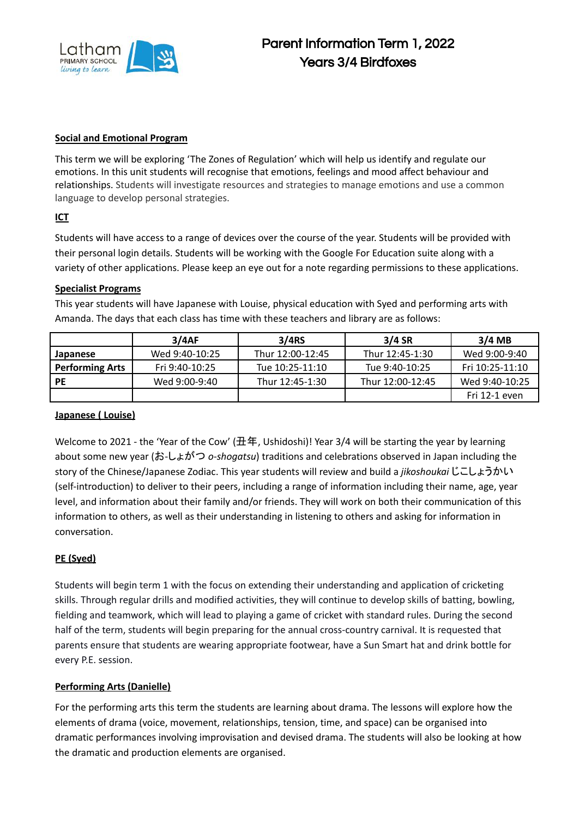

#### **Social and Emotional Program**

This term we will be exploring 'The Zones of Regulation' which will help us identify and regulate our emotions. In this unit students will recognise that emotions, feelings and mood affect behaviour and relationships. Students will investigate resources and strategies to manage emotions and use a common language to develop personal strategies.

## **ICT**

Students will have access to a range of devices over the course of the year. Students will be provided with their personal login details. Students will be working with the Google For Education suite along with a variety of other applications. Please keep an eye out for a note regarding permissions to these applications.

#### **Specialist Programs**

This year students will have Japanese with Louise, physical education with Syed and performing arts with Amanda. The days that each class has time with these teachers and library are as follows:

|                        | 3/4AF          | 3/4RS            | $3/4$ SR         | $3/4$ MB        |
|------------------------|----------------|------------------|------------------|-----------------|
| Japanese               | Wed 9:40-10:25 | Thur 12:00-12:45 | Thur 12:45-1:30  | Wed 9:00-9:40   |
| <b>Performing Arts</b> | Fri 9:40-10:25 | Tue 10:25-11:10  | Tue 9:40-10:25   | Fri 10:25-11:10 |
| <b>PE</b>              | Wed 9:00-9:40  | Thur 12:45-1:30  | Thur 12:00-12:45 | Wed 9:40-10:25  |
|                        |                |                  |                  | Fri 12-1 even   |

#### **Japanese ( Louise)**

Welcome to 2021 - the 'Year of the Cow' (丑年, Ushidoshi)! Year 3/4 will be starting the year by learning about some new year (お-しょがつ *o-shogatsu*) traditions and celebrations observed in Japan including the story of the Chinese/Japanese Zodiac. This year students will review and build a *jikoshoukai* じこしょうかい (self-introduction) to deliver to their peers, including a range of information including their name, age, year level, and information about their family and/or friends. They will work on both their communication of this information to others, as well as their understanding in listening to others and asking for information in conversation.

## **PE (Syed)**

Students will begin term 1 with the focus on extending their understanding and application of cricketing skills. Through regular drills and modified activities, they will continue to develop skills of batting, bowling, fielding and teamwork, which will lead to playing a game of cricket with standard rules. During the second half of the term, students will begin preparing for the annual cross-country carnival. It is requested that parents ensure that students are wearing appropriate footwear, have a Sun Smart hat and drink bottle for every P.E. session.

## **Performing Arts (Danielle)**

For the performing arts this term the students are learning about drama. The lessons will explore how the elements of drama (voice, movement, relationships, tension, time, and space) can be organised into dramatic performances involving improvisation and devised drama. The students will also be looking at how the dramatic and production elements are organised.